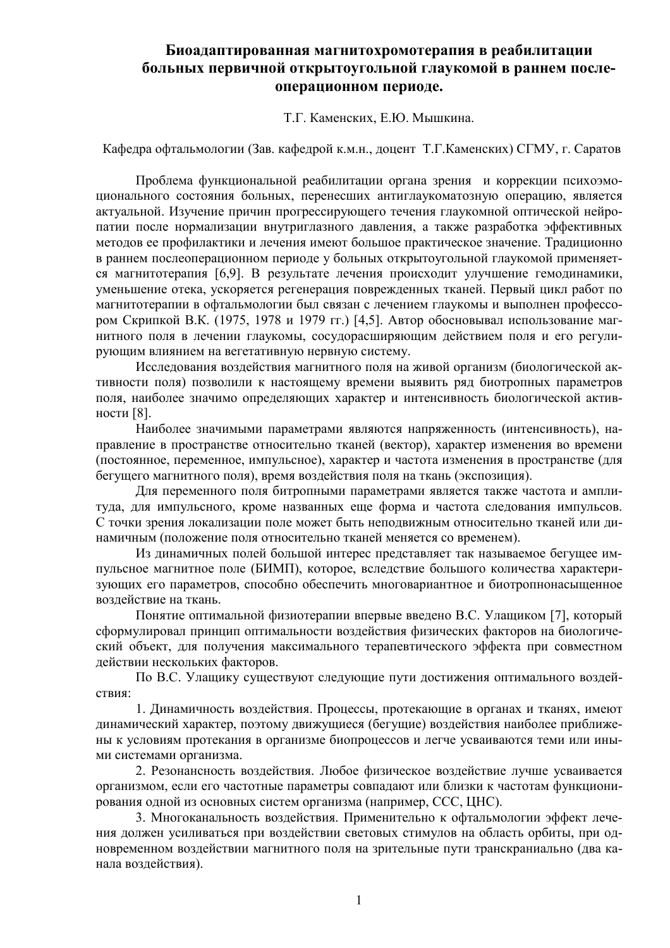# Биоадаптированная магнитохромотерапия в реабилитации больных первичной открытоугольной глаукомой в раннем послеоперационном периоде.

Т.Г. Каменских, Е.Ю. Мышкина.

Кафедра офтальмологии (Зав. кафедрой к.м.н., доцент Т.Г. Каменских) СГМУ, г. Саратов

Проблема функциональной реабилитации органа зрения и коррекции психоэмоционального состояния больных, перенесших антиглаукоматозную операцию, является актуальной. Изучение причин прогрессирующего течения глаукомной оптической нейропатии после нормализации внутриглазного давления, а также разработка эффективных метолов ее профилактики и лечения имеют большое практическое значение. Тралиционно в раннем послеоперационном периоде у больных открытоугольной глаукомой применяется магнитотерапия [6,9]. В результате лечения происходит улучшение гемодинамики, уменьшение отека, ускоряется регенерация поврежденных тканей. Первый цикл работ по магнитотерапии в офтальмологии был связан с лечением глаукомы и выполнен профессором Скрипкой В.К. (1975, 1978 и 1979 гг.) [4,5]. Автор обосновывал использование магнитного поля в лечении глаукомы, сосудорасширяющим действием поля и его регулирующим влиянием на вегетативную нервную систему.

Исследования воздействия магнитного поля на живой организм (биологической активности поля) позволили к настоящему времени выявить ряд биотропных параметров поля, наиболее значимо определяющих характер и интенсивность биологической активности [8].

Наиболее значимыми параметрами являются напряженность (интенсивность), направление в пространстве относительно тканей (вектор), характер изменения во времени (постоянное, переменное, импульсное), характер и частота изменения в пространстве (для бегушего магнитного поля), время воздействия поля на ткань (экспозиция).

Для переменного поля битропными параметрами является также частота и амплитуда, для импульсного, кроме названных еще форма и частота следования импульсов. С точки зрения локализации поле может быть неподвижным относительно тканей или динамичным (положение поля относительно тканей меняется со временем).

Из линамичных полей большой интерес представляет так называемое бегушее импульсное магнитное поле (БИМП), которое, вследствие большого количества характеризующих его параметров, способно обеспечить многовариантное и биотропнонасыщенное воздействие на ткань.

Понятие оптимальной физиотерапии впервые введено В.С. Улащиком [7], который сформулировал принцип оптимальности воздействия физических факторов на биологический объект, для получения максимального терапевтического эффекта при совместном действии нескольких факторов.

По В.С. Улащику существуют следующие пути достижения оптимального воздействия:

1. Динамичность воздействия. Процессы, протекающие в органах и тканях, имеют динамический характер, поэтому движущиеся (бегущие) воздействия наиболее приближены к условиям протекания в организме биопроцессов и легче усваиваются теми или иными системами организма.

2. Резонансность воздействия. Любое физическое воздействие лучше усваивается организмом, если его частотные параметры совпадают или близки к частотам функционирования одной из основных систем организма (например, ССС, ЦНС).

3. Многоканальность воздействия. Применительно к офтальмологии эффект лечения должен усиливаться при воздействии световых стимулов на область орбиты, при одновременном воздействии магнитного поля на зрительные пути транскраниально (два канала воздействия).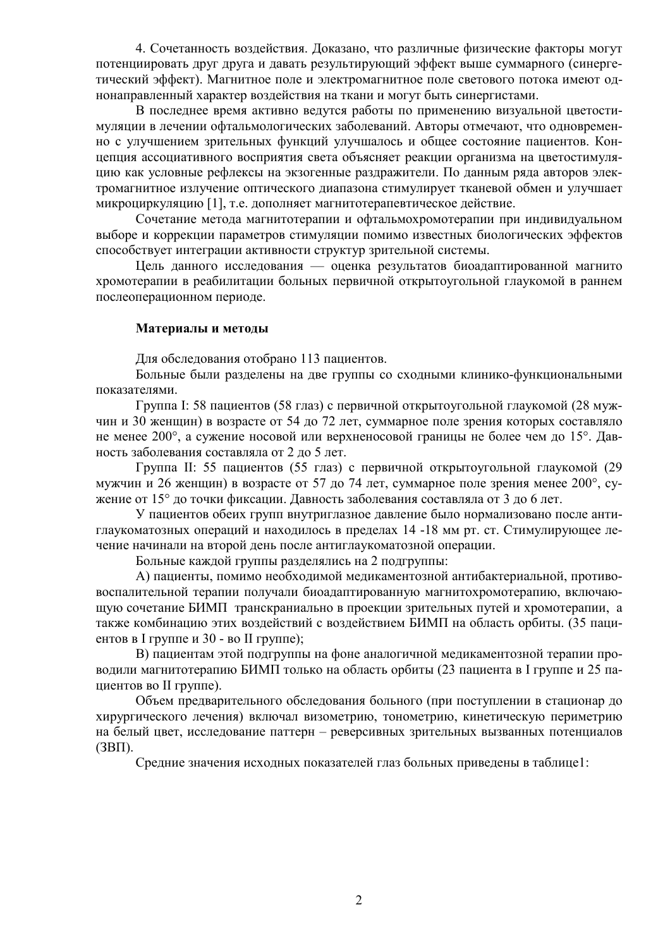4. Сочетанность воздействия. Доказано, что различные физические факторы могут потенциировать друг друга и давать результирующий эффект выше суммарного (синергетический эффект). Магнитное поле и электромагнитное поле светового потока имеют однонаправленный характер воздействия на ткани и могут быть синергистами.

В последнее время активно ведутся работы по применению визуальной цветостимуляции в лечении офтальмологических заболеваний. Авторы отмечают, что одновременно с улучшением зрительных функций улучшалось и общее состояние пациентов. Концепция ассоциативного восприятия света объясняет реакции организма на цветостимуляцию как условные рефлексы на экзогенные раздражители. По данным ряда авторов электромагнитное излучение оптического диапазона стимулирует тканевой обмен и улучшает микроциркуляцию [1], т.е. дополняет магнитотерапевтическое действие.

Сочетание метода магнитотерапии и офтальмохромотерапии при индивидуальном выборе и коррекции параметров стимуляции помимо известных биологических эффектов способствует интеграции активности структур зрительной системы.

Цель данного исследования — оценка результатов биоадаптированной магнито хромотерапии в реабилитации больных первичной открытоугольной глаукомой в раннем послеоперационном периоде.

### Материалы и методы

Для обследования отобрано 113 пациентов.

Больные были разделены на две группы со сходными клинико-функциональными показателями.

Группа І: 58 пациентов (58 глаз) с первичной открытоугольной глаукомой (28 мужчин и 30 женщин) в возрасте от 54 до 72 лет, суммарное поле зрения которых составляло не менее 200°, а сужение носовой или верхненосовой границы не более чем до 15°. Давность заболевания составляла от 2 до 5 лет.

Группа II: 55 пациентов (55 глаз) с первичной открытоугольной глаукомой (29 мужчин и 26 женщин) в возрасте от 57 до 74 лет, суммарное поле зрения менее 200°, сужение от 15° до точки фиксации. Давность заболевания составляла от 3 до 6 лет.

У пациентов обеих групп внутриглазное давление было нормализовано после антиглаукоматозных операций и находилось в пределах 14-18 мм рт. ст. Стимулирующее лечение начинали на второй день после антиглаукоматозной операции.

Больные каждой группы разделялись на 2 подгруппы:

А) пациенты, помимо необходимой медикаментозной антибактериальной, противовоспалительной терапии получали биоадаптированную магнитохромотерапию, включающую сочетание БИМП транскраниально в проекции зрительных путей и хромотерапии, а также комбинацию этих воздействий с воздействием БИМП на область орбиты. (35 пациентов в I группе и 30 - во II группе);

В) пациентам этой подгруппы на фоне аналогичной медикаментозной терапии проводили магнитотерапию БИМП только на область орбиты (23 пациента в I группе и 25 папиентов во II группе).

Объем предварительного обследования больного (при поступлении в стационар до хирургического лечения) включал визометрию, тонометрию, кинетическую периметрию на белый цвет, исследование паттерн - реверсивных зрительных вызванных потенциалов  $(3B\Pi)$ .

Средние значения исходных показателей глаз больных приведены в таблице1: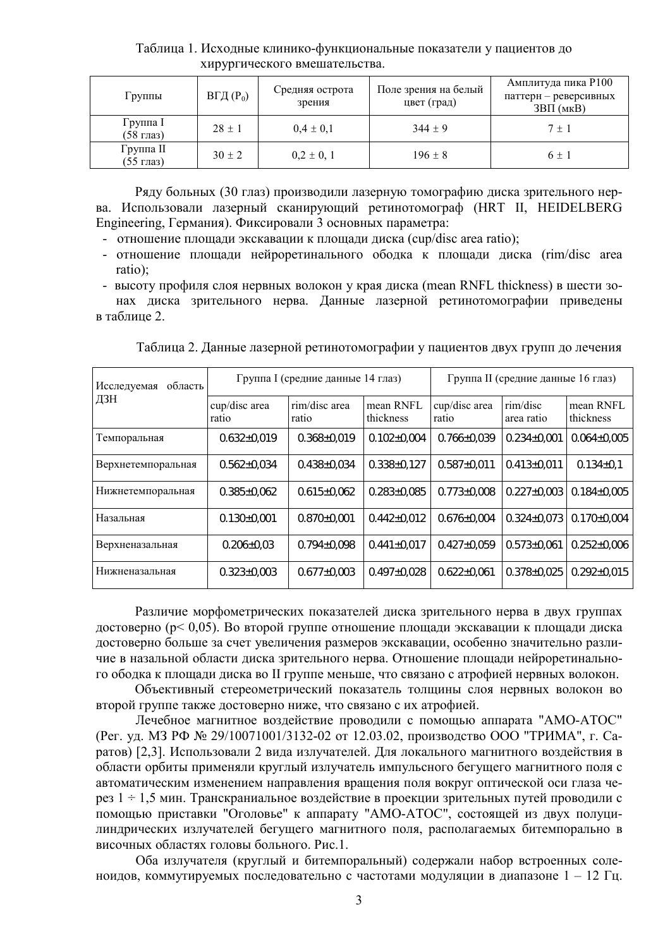Таблица 1. Исходные клинико-функциональные показатели у пациентов до хирургического вмешательства.

| Группы                 | $B\Gamma\mu(P_0)$ | Средняя острота<br>зрения | Поле зрения на белый<br>цвет (град) | Амплитуда пика Р100<br>паттерн - реверсивных<br>$3B\Pi$ ( $MKB$ ) |
|------------------------|-------------------|---------------------------|-------------------------------------|-------------------------------------------------------------------|
| Группа I<br>(58 глаз)  | $28 \pm 1$        | $0.4 \pm 0.1$             | $344 \pm 9$                         | $7 \pm 1$                                                         |
| Группа II<br>(55 глаз) | $30 \pm 2$        | $0,2 \pm 0,1$             | $196 \pm 8$                         | $6 \pm 1$                                                         |

Ряду больных (30 глаз) производили лазерную томографию диска зрительного нерва. Использовали лазерный сканирующий ретинотомограф (HRT II, HEIDELBERG Engineering, Германия). Фиксировали 3 основных параметра:

- отношение площади экскавации к площади диска (cup/disc area ratio);
- отношение площади нейроретинального ободка к площади диска (rim/disc area ratio);

- высоту профиля слоя нервных волокон у края диска (mean RNFL thickness) в шести зонах диска зрительного нерва. Данные лазерной ретинотомографии приведены в таблине 2

Таблица 2. Данные лазерной ретинотомографии у пациентов двух групп до лечения

| Исследуемая<br>область<br>ДЗН |                        | Группа I (средние данные 14 глаз) |                        | Группа II (средние данные 16 глаз) |                        |                        |                   |
|-------------------------------|------------------------|-----------------------------------|------------------------|------------------------------------|------------------------|------------------------|-------------------|
|                               | cup/disc area<br>ratio | rim/disc area<br>ratio            | mean RNFL<br>thickness | cup/disc area<br>ratio             | rim/disc<br>area ratio | mean RNFL<br>thickness |                   |
| Темпоральная                  | $0.632 \pm 0.019$      | $0.368 \pm 0.019$                 | $0.102 \pm 0.004$      |                                    | $0.766 \pm 0.039$      | $0.234 \pm 0.001$      | $0.064 \pm$       |
| Верхнетемпоральная            | $0.562 \pm 0.034$      | $0.438 \pm 0.034$                 | $0.338 \pm 0.127$      |                                    | $0.587 \pm 0.011$      | $0.413 \pm 0.011$      | $0.134 +$         |
| Нижнетемпоральная             | $0.385 \pm 0.062$      | $0.615 \pm 0.062$                 | $0.283 + 0.085$        |                                    | $0.773 \pm 0.008$      | $0.227 \pm 0.003$      | $0.184 +$         |
| Назальная                     | $0.130 \pm 0.001$      | $0.870\pm0.001$                   | $0.442 \pm 0.012$      |                                    | $0.676 \pm 0.004$      | $0.324 \pm 0.073$      | $0.170 +$         |
| Верхненазальная               | $0.206 \pm 0.03$       | $0.794 \pm 0.098$                 | $0.441 \pm 0.017$      |                                    | $0.427 \pm 0.059$      | $0.573 \pm 0.061$      | $0.252 \pm 0.252$ |
| Нижненазальная                | $0.323 \pm 0.003$      | $0.677 \pm 0.003$                 | $0.497\pm0.028$        |                                    | $0.622 \pm 0.061$      | $0.378 \pm 0.025$      | $0.292 +$         |

Различие морфометрических показателей диска зрительного нерва в двух группах достоверно (р< 0,05). Во второй группе отношение площади экскавации к площади диска достоверно больше за счет увеличения размеров экскавации, особенно значительно различие в назальной области диска зрительного нерва. Отношение площади нейроретинального ободка к площади диска во II группе меньше, что связано с атрофией нервных волокон.

Объективный стереометрический показатель толщины слоя нервных волокон во второй группе также достоверно ниже, что связано с их атрофией.

Лечебное магнитное воздействие проводили с помощью аппарата "АМО-АТОС" (Рег. уд. МЗ РФ № 29/10071001/3132-02 от 12.03.02, производство ООО "ТРИМА", г. Саратов) [2,3]. Использовали 2 вида излучателей. Для локального магнитного воздействия в области орбиты применяли круглый излучатель импульсного бегущего магнитного поля с автоматическим изменением направления вращения поля вокруг оптической оси глаза через 1 ÷ 1,5 мин. Транскраниальное воздействие в проекции зрительных путей проводили с помощью приставки "Оголовье" к аппарату "АМО-АТОС", состоящей из двух полуцилиндрических излучателей бегущего магнитного поля, располагаемых битемпорально в височных областях головы больного. Рис.1.

Оба излучателя (круглый и битемпоральный) содержали набор встроенных соленоидов, коммутируемых последовательно с частотами модуляции в диапазоне 1 - 12 Гц.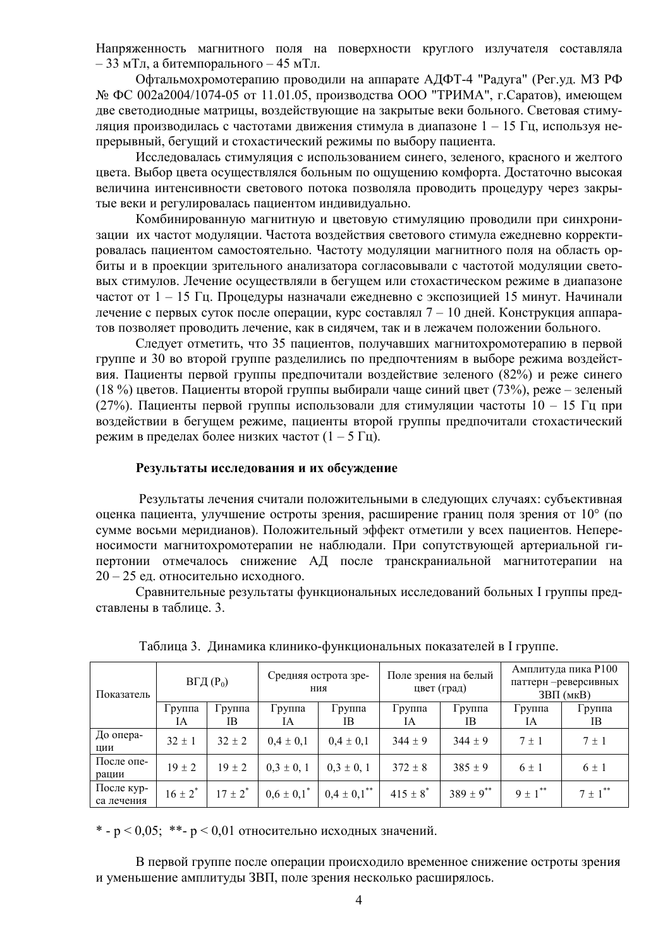Напряженность магнитного поля на поверхности круглого излучателя составляла  $-33$  мТл, а битемпорального  $-45$  мТл.

Офтальмохромотерапию проводили на аппарате АДФТ-4 "Радуга" (Рег. уд. МЗ РФ № ФС 002а2004/1074-05 от 11.01.05, производства ООО "ТРИМА", г.Саратов), имеющем две светодиодные матрицы, воздействующие на закрытые веки больного. Световая стимуляция производилась с частотами движения стимула в диапазоне  $1 - 15$  Гц, используя непрерывный, бегущий и стохастический режимы по выбору пациента.

Исследовалась стимуляция с использованием синего, зеленого, красного и желтого цвета. Выбор цвета осуществлялся больным по ощущению комфорта. Достаточно высокая величина интенсивности светового потока позволяла проводить процедуру через закрытые веки и регулировалась пациентом индивидуально.

Комбинированную магнитную и цветовую стимуляцию проводили при синхронизации их частот модуляции. Частота воздействия светового стимула ежедневно корректировалась пациентом самостоятельно. Частоту модуляции магнитного поля на область орбиты и в проекции зрительного анализатора согласовывали с частотой модуляции световых стимулов. Лечение осуществляли в бегущем или стохастическом режиме в диапазоне частот от 1 – 15 Гц. Процедуры назначали ежедневно с экспозицией 15 минут. Начинали лечение с первых суток после операции, курс составлял 7 – 10 дней. Конструкция аппаратов позволяет проводить лечение, как в сидячем, так и в лежачем положении больного.

Следует отметить, что 35 пациентов, получавших магнитохромотерапию в первой группе и 30 во второй группе разделились по предпочтениям в выборе режима воздействия. Пациенты первой группы предпочитали воздействие зеленого (82%) и реже синего (18 %) цветов. Пациенты второй группы выбирали чаще синий цвет (73%), реже – зеленый (27%). Пациенты первой группы использовали для стимуляции частоты  $10 - 15$  Гц при воздействии в бегущем режиме, пациенты второй группы предпочитали стохастический режим в пределах более низких частот  $(1 - 5)$  Гц).

#### Результаты исследования и их обсуждение

Результаты лечения считали положительными в следующих случаях: субъективная оценка пациента, улучшение остроты зрения, расширение границ поля зрения от 10° (по сумме восьми меридианов). Положительный эффект отметили у всех пациентов. Непереносимости магнитохромотерапии не наблюдали. При сопутствующей артериальной гипертонии отмечалось снижение АД после транскраниальной магнитотерапии на 20 - 25 ед. относительно исходного.

Сравнительные результаты функциональных исследований больных I группы представлены в таблице. 3.

| Показатель               | $B\Gamma\mu(P_0)$ |                             | Средняя острота зре-<br>ния |                               | Поле зрения на белый<br>цвет (град) |                  | Амплитуда пика Р100<br>паттерн - реверсивных<br>$3B\Pi$ (MKB) |                         |
|--------------------------|-------------------|-----------------------------|-----------------------------|-------------------------------|-------------------------------------|------------------|---------------------------------------------------------------|-------------------------|
|                          | Группа<br>IA      | $\Gamma$ py $\pi$ na<br>IB. | Группа<br>IA                | Группа<br>IB.                 | Группа<br>IA                        | Группа<br>IB     | Группа<br>IA                                                  | Группа<br>IΒ            |
| До опера-<br>ЦИИ         | $32 \pm 1$        | $32 \pm 2$                  | $0.4 \pm 0.1$               | $0.4 \pm 0.1$                 | $344 \pm 9$                         | $344 \pm 9$      | $7 \pm 1$                                                     | $7 \pm 1$               |
| После опе-<br>рации      | $19 \pm 2$        | $19 \pm 2$                  | $0,3 \pm 0,1$               | $0.3 \pm 0.1$                 | $372 \pm 8$                         | $385 \pm 9$      | $6 \pm 1$                                                     | $6 \pm 1$               |
| После кур-<br>са лечения | $16 \pm 2^*$      | $17 \pm 2^*$                | $0.6 \pm 0.1^*$             | $0,4 \pm 0,1$ <sup>**</sup> 1 | $415 \pm 8$ <sup>*</sup>            | $389 \pm 9^{**}$ | $9 \pm 1$ <sup>**</sup>                                       | $7 \pm 1$ <sup>**</sup> |

Таблица 3. Динамика клинико-функциональных показателей в I группе.

\* - р < 0,05; \*\* - р < 0,01 относительно исходных значений.

В первой группе после операции происходило временное снижение остроты зрения и уменьшение амплитуды ЗВП, поле зрения несколько расширялось.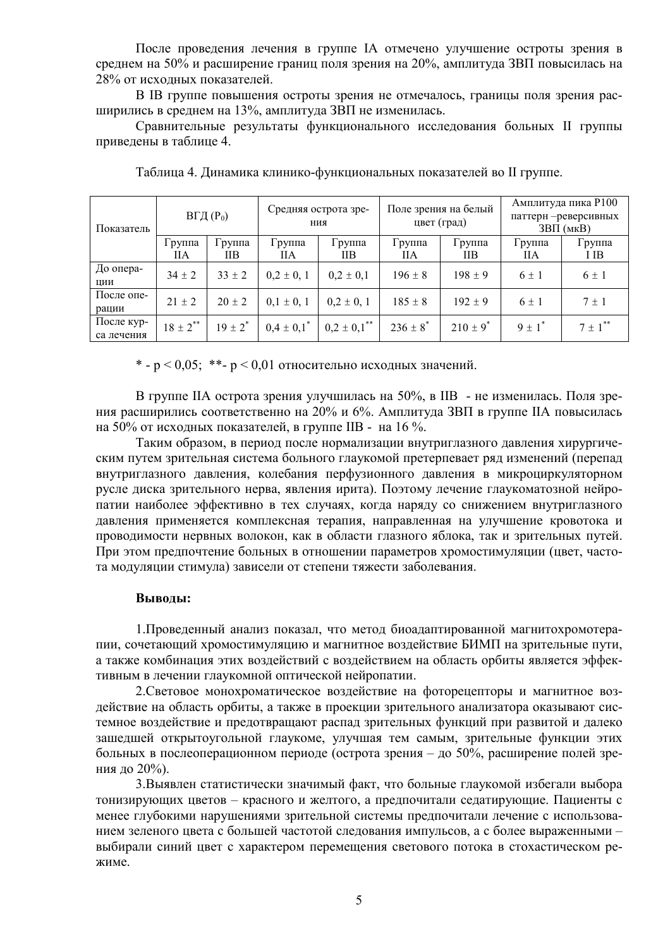После проведения лечения в группе IA отмечено улучшение остроты зрения в среднем на 50% и расширение границ поля зрения на 20%, амплитуда ЗВП повысилась на 28% от исходных показателей.

В ІВ группе повышения остроты зрения не отмечалось, границы поля зрения расширились в среднем на 13%, амплитуда ЗВП не изменилась.

Сравнительные результаты функционального исследования больных II группы приведены в таблице 4.

| Показатель               | $B\Gamma\mu(P_0)$ |                | Средняя острота зре-<br>ния |                             | Поле зрения на белый<br>цвет (град) |               | Амплитуда пика Р100<br>паттерн - реверсивных<br>$3B\Pi$ ( $MKB$ ) |                         |
|--------------------------|-------------------|----------------|-----------------------------|-----------------------------|-------------------------------------|---------------|-------------------------------------------------------------------|-------------------------|
|                          | Группа<br>ПA      | І руппа<br>IІВ | $1$ py $\pi$ $\pi$ a<br>ПA  | $1$ py $\pi$ $\pi$ a<br>IІВ | Группа<br><b>IIA</b>                | Группа<br>IIВ | Группа<br>ПA                                                      | Группа<br>I IB          |
| До опера-<br>ЦИИ         | $34 \pm 2$        | $33 \pm 2$     | $0,2 \pm 0,1$               | $0.2 \pm 0.1$               | $196 \pm 8$                         | $198 \pm 9$   | $6 \pm 1$                                                         | $6 \pm 1$               |
| После опе-<br>рации      | $21 \pm 2$        | $20 \pm 2$     | $0,1 \pm 0,1$               | $0,2 \pm 0,1$               | $185 \pm 8$                         | $192 \pm 9$   | $6 \pm 1$                                                         | $7 \pm 1$               |
| После кур-<br>са лечения | $18 \pm 2$ **     | $19 \pm 2^*$   | $0.4 \pm 0.1^*$             | $0,2 \pm 0.1$ <sup>**</sup> | $236 \pm 8^*$                       | $210 \pm 9^*$ | $9 \pm 1$ <sup>*</sup>                                            | $7 \pm 1$ <sup>**</sup> |

Таблица 4. Динамика клинико-функциональных показателей во II группе.

\* - р < 0,05; \*\* - р < 0,01 относительно исходных значений.

В группе IIA острота зрения улучшилась на 50%, в IIB - не изменилась. Поля зрения расширились соответственно на 20% и 6%. Амплитуда ЗВП в группе IIА повысилась на 50% от исходных показателей, в группе IIB - на 16 %.

Таким образом, в период после нормализации внутриглазного давления хирургическим путем зрительная система больного глаукомой претерпевает ряд изменений (перепад внутриглазного давления, колебания перфузионного давления в микроциркуляторном русле диска зрительного нерва, явления ирита). Поэтому лечение глаукоматозной нейропатии наиболее эффективно в тех случаях, когда наряду со снижением внутриглазного давления применяется комплексная терапия, направленная на улучшение кровотока и проводимости нервных волокон, как в области глазного яблока, так и зрительных путей. При этом предпочтение больных в отношении параметров хромостимуляции (цвет, частота модуляции стимула) зависели от степени тяжести заболевания.

### Выводы:

1. Проведенный анализ показал, что метод биоадаптированной магнитохромотерапии, сочетающий хромостимуляцию и магнитное воздействие БИМП на зрительные пути, а также комбинация этих воздействий с воздействием на область орбиты является эффективным в лечении глаукомной оптической нейропатии.

2. Световое монохроматическое воздействие на фоторецепторы и магнитное воздействие на область орбиты, а также в проекции зрительного анализатора оказывают системное воздействие и предотвращают распад зрительных функций при развитой и далеко зашедшей открытоугольной глаукоме, улучшая тем самым, зрительные функции этих больных в послеоперационном периоде (острота зрения – до 50%, расширение полей зрения до 20%).

3. Выявлен статистически значимый факт, что больные глаукомой избегали выбора тонизирующих цветов - красного и желтого, а предпочитали седатирующие. Пациенты с менее глубокими нарушениями зрительной системы предпочитали лечение с использованием зеленого цвета с большей частотой следования импульсов, а с более выраженными выбирали синий цвет с характером перемещения светового потока в стохастическом режиме.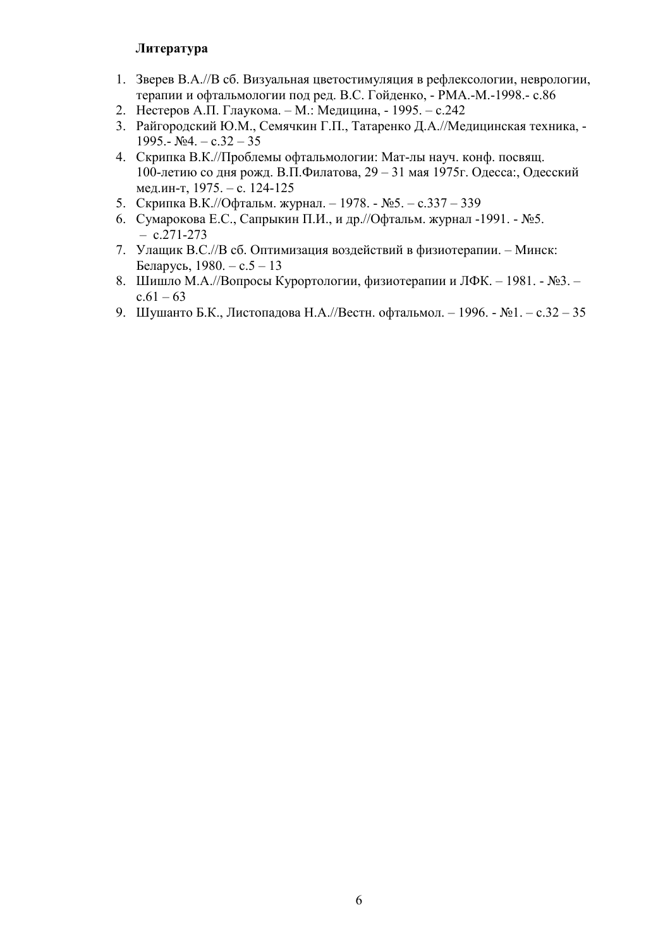## **Литература**

- 1. Зверев В.А.//В сб. Визуальная цветостимуляция в рефлексологии, неврологии, терапии и офтальмологии под ред. В.С. Гойденко, - РМА.-М.-1998.- с.86
- 2. Нестеров А.П. Глаукома. М.: Медицина, 1995. с.242
- 3. Райгородский Ю.М., Семячкин Г.П., Татаренко Д.А.//Медицинская техника, -1995.-  $N_24. -c.32 - 35$
- 4. Скрипка В.К.//Проблемы офтальмологии: Мат-лы науч. конф. посвящ. 100-летию со дня рожд. В.П.Филатова, 29 - 31 мая 1975 г. Одесса:, Одесский мед.ин-т, 1975. – с. 124-125
- 5. Скрипка В.К.//Офтальм. журнал. 1978. №5. с.337 339
- 6. Сумарокова Е.С., Сапрыкин П.И., и др.//Офтальм. журнал -1991. №5.  $- c.271 - 273$
- 7. Улащик В.С.//В сб. Оптимизация воздействий в физиотерапии. Минск: Беларусь,  $1980. - c.5 - 13$
- 8. Шишло М.А.//Вопросы Курортологии, физиотерапии и ЛФК. 1981. №3.  $c.61 - 63$
- 9. Шушанто Б.К., Листопадова Н.А.//Вестн. офтальмол. 1996. №1. с.32 35